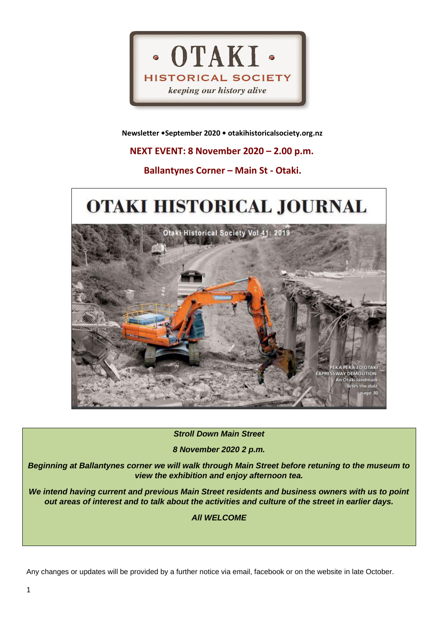

 **Newsletter •September 2020 • otakihistoricalsociety.org.nz**

 **NEXT EVENT: 8 November 2020 – 2.00 p.m.**

 **Ballantynes Corner – Main St - Otaki.**

# OTAKI HISTORICAL JOURNAL



*Stroll Down Main Street* 

*8 November 2020 2 p.m.*

*Beginning at Ballantynes corner we will walk through Main Street before retuning to the museum to view the exhibition and enjoy afternoon tea.*

*We intend having current and previous Main Street residents and business owners with us to point out areas of interest and to talk about the activities and culture of the street in earlier days.*

*All WELCOME*

Any changes or updates will be provided by a further notice via email, facebook or on the website in late October.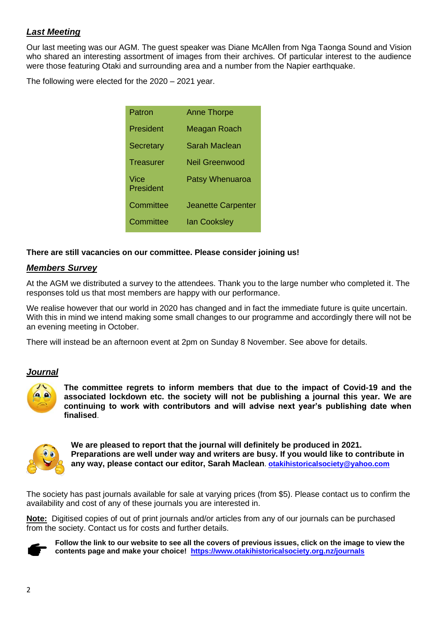# *Last Meeting*

Our last meeting was our AGM. The guest speaker was Diane McAllen from Nga Taonga Sound and Vision who shared an interesting assortment of images from their archives. Of particular interest to the audience were those featuring Otaki and surrounding area and a number from the Napier earthquake.

The following were elected for the 2020 – 2021 year.

| Patron            | <b>Anne Thorpe</b>        |
|-------------------|---------------------------|
| President         | Meagan Roach              |
| <b>Secretary</b>  | Sarah Maclean             |
| <b>Treasurer</b>  | <b>Neil Greenwood</b>     |
| Vice<br>President | <b>Patsy Whenuaroa</b>    |
| Committee         | <b>Jeanette Carpenter</b> |
| Committee         | <b>lan Cooksley</b>       |

#### **There are still vacancies on our committee. Please consider joining us!**

#### *Members Survey*

At the AGM we distributed a survey to the attendees. Thank you to the large number who completed it. The responses told us that most members are happy with our performance.

We realise however that our world in 2020 has changed and in fact the immediate future is quite uncertain. With this in mind we intend making some small changes to our programme and accordingly there will not be an evening meeting in October.

There will instead be an afternoon event at 2pm on Sunday 8 November. See above for details.

#### *Journal*



**The committee regrets to inform members that due to the impact of Covid-19 and the associated lockdown etc. the society will not be publishing a journal this year. We are continuing to work with contributors and will advise next year's publishing date when finalised**.



**We are pleased to report that the journal will definitely be produced in 2021. Preparations are well under way and writers are busy. If you would like to contribute in any way, please contact our editor, Sarah Maclean**. **[otakihistoricalsociety@yahoo.com](mailto:otakihistoricalsociety@yahoo.com)**

The society has past journals available for sale at varying prices (from \$5). Please contact us to confirm the availability and cost of any of these journals you are interested in.

**Note:** Digitised copies of out of print journals and/or articles from any of our journals can be purchased from the society. Contact us for costs and further details.



**Follow the link to our website to see all the covers of previous issues, click on the image to view the contents page and make your choice! <https://www.otakihistoricalsociety.org.nz/journals>**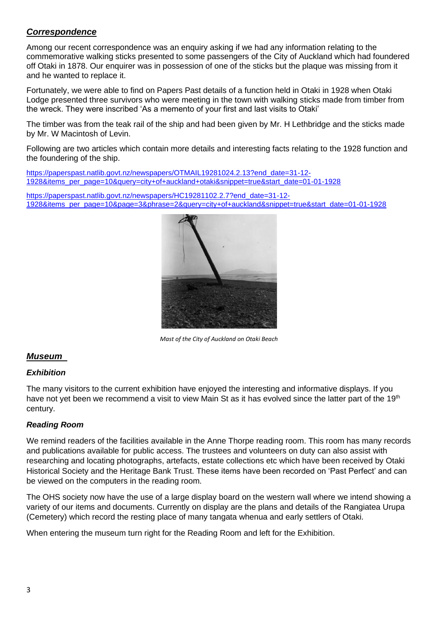# *Correspondence*

Among our recent correspondence was an enquiry asking if we had any information relating to the commemorative walking sticks presented to some passengers of the City of Auckland which had foundered off Otaki in 1878. Our enquirer was in possession of one of the sticks but the plaque was missing from it and he wanted to replace it.

Fortunately, we were able to find on Papers Past details of a function held in Otaki in 1928 when Otaki Lodge presented three survivors who were meeting in the town with walking sticks made from timber from the wreck. They were inscribed 'As a memento of your first and last visits to Otaki'

The timber was from the teak rail of the ship and had been given by Mr. H Lethbridge and the sticks made by Mr. W Macintosh of Levin.

Following are two articles which contain more details and interesting facts relating to the 1928 function and the foundering of the ship.

[https://paperspast.natlib.govt.nz/newspapers/OTMAIL19281024.2.13?end\\_date=31-12-](https://paperspast.natlib.govt.nz/newspapers/OTMAIL19281024.2.13?end_date=31-12-1928&items_per_page=10&query=city+of+auckland+otaki&snippet=true&start_date=01-01-1928) [1928&items\\_per\\_page=10&query=city+of+auckland+otaki&snippet=true&start\\_date=01-01-1928](https://paperspast.natlib.govt.nz/newspapers/OTMAIL19281024.2.13?end_date=31-12-1928&items_per_page=10&query=city+of+auckland+otaki&snippet=true&start_date=01-01-1928)

[https://paperspast.natlib.govt.nz/newspapers/HC19281102.2.7?end\\_date=31-12-](https://paperspast.natlib.govt.nz/newspapers/HC19281102.2.7?end_date=31-12-1928&items_per_page=10&page=3&phrase=2&query=city+of+auckland&snippet=true&start_date=01-01-1928) [1928&items\\_per\\_page=10&page=3&phrase=2&query=city+of+auckland&snippet=true&start\\_date=01-01-1928](https://paperspast.natlib.govt.nz/newspapers/HC19281102.2.7?end_date=31-12-1928&items_per_page=10&page=3&phrase=2&query=city+of+auckland&snippet=true&start_date=01-01-1928)



*Mast of the City of Auckland on Otaki Beach* 

# *Museum*

## *Exhibition*

The many visitors to the current exhibition have enjoyed the interesting and informative displays. If you have not yet been we recommend a visit to view Main St as it has evolved since the latter part of the 19<sup>th</sup> century.

## *Reading Room*

We remind readers of the facilities available in the Anne Thorpe reading room. This room has many records and publications available for public access. The trustees and volunteers on duty can also assist with researching and locating photographs, artefacts, estate collections etc which have been received by Otaki Historical Society and the Heritage Bank Trust. These items have been recorded on 'Past Perfect' and can be viewed on the computers in the reading room.

The OHS society now have the use of a large display board on the western wall where we intend showing a variety of our items and documents. Currently on display are the plans and details of the Rangiatea Urupa (Cemetery) which record the resting place of many tangata whenua and early settlers of Otaki.

When entering the museum turn right for the Reading Room and left for the Exhibition.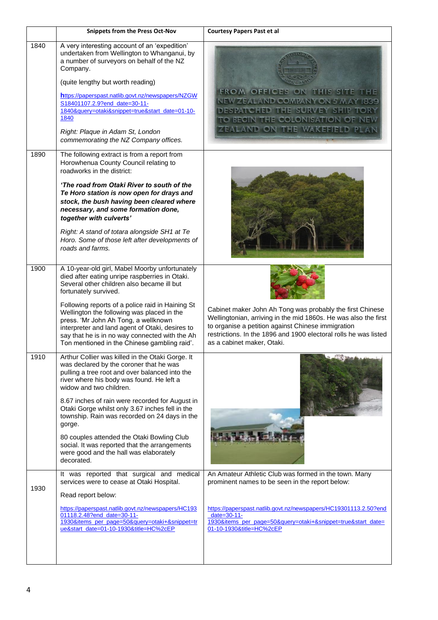|      | <b>Snippets from the Press Oct-Nov</b>                                                                                                                                                                                                                                                                                                                                                                                                                                                                                                        | <b>Courtesy Papers Past et al</b>                                                                                                                                                                                                                                                           |
|------|-----------------------------------------------------------------------------------------------------------------------------------------------------------------------------------------------------------------------------------------------------------------------------------------------------------------------------------------------------------------------------------------------------------------------------------------------------------------------------------------------------------------------------------------------|---------------------------------------------------------------------------------------------------------------------------------------------------------------------------------------------------------------------------------------------------------------------------------------------|
| 1840 | A very interesting account of an 'expedition'<br>undertaken from Wellington to Whanganui, by<br>a number of surveyors on behalf of the NZ<br>Company.<br>(quite lengthy but worth reading)<br>https://paperspast.natlib.govt.nz/newspapers/NZGW<br>S18401107.2.9?end_date=30-11-<br>1840&query=otaki&snippet=true&start_date=01-10-<br>1840<br>Right: Plaque in Adam St, London<br>commemorating the NZ Company offices.                                                                                                                      | FROM OFFICES ON THIS SITE THE<br>NEW ZEALAND COMPANY ON 5 MAY 1839<br>DESPATCHED THE SURVEY SHIP TORY<br>TO BEGIN THE COLONISATION OF NEW<br>ZEALAND ON THE WAKEFIELD PLAN                                                                                                                  |
| 1890 | The following extract is from a report from<br>Horowhenua County Council relating to<br>roadworks in the district:<br>'The road from Otaki River to south of the<br>Te Horo station is now open for drays and<br>stock, the bush having been cleared where<br>necessary, and some formation done,<br>together with culverts'<br>Right: A stand of totara alongside SH1 at Te<br>Horo. Some of those left after developments of<br>roads and farms.                                                                                            |                                                                                                                                                                                                                                                                                             |
| 1900 | A 10-year-old girl, Mabel Moorby unfortunately<br>died after eating unripe raspberries in Otaki.<br>Several other children also became ill but<br>fortunately survived.<br>Following reports of a police raid in Haining St<br>Wellington the following was placed in the<br>press. 'Mr John Ah Tong, a wellknown<br>interpreter and land agent of Otaki, desires to<br>say that he is in no way connected with the Ah<br>Ton mentioned in the Chinese gambling raid'.                                                                        | Cabinet maker John Ah Tong was probably the first Chinese<br>Wellingtonian, arriving in the mid 1860s. He was also the first<br>to organise a petition against Chinese immigration<br>restrictions. In the 1896 and 1900 electoral rolls he was listed<br>as a cabinet maker, Otaki.        |
| 1910 | Arthur Collier was killed in the Otaki Gorge. It<br>was declared by the coroner that he was<br>pulling a tree root and over balanced into the<br>river where his body was found. He left a<br>widow and two children.<br>8.67 inches of rain were recorded for August in<br>Otaki Gorge whilst only 3.67 inches fell in the<br>township. Rain was recorded on 24 days in the<br>gorge.<br>80 couples attended the Otaki Bowling Club<br>social. It was reported that the arrangements<br>were good and the hall was elaborately<br>decorated. | 2 P. What A.                                                                                                                                                                                                                                                                                |
| 1930 | It was reported that surgical and medical<br>services were to cease at Otaki Hospital.<br>Read report below:<br>https://paperspast.natlib.govt.nz/newspapers/HC193<br>01118.2.48?end_date=30-11-<br>1930&items_per_page=50&query=otaki+&snippet=tr<br>ue&start_date=01-10-1930&title=HC%2cEP                                                                                                                                                                                                                                                  | An Amateur Athletic Club was formed in the town. Many<br>prominent names to be seen in the report below:<br>https://paperspast.natlib.govt.nz/newspapers/HC19301113.2.50?end<br>date= $30-11$ -<br>1930&items_per_page=50&query=otaki+&snippet=true&start_date=<br>01-10-1930&title=HC%2cEP |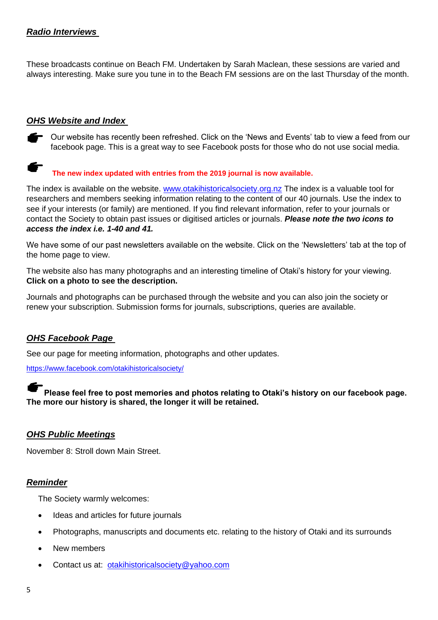# *Radio Interviews*

These broadcasts continue on Beach FM. Undertaken by Sarah Maclean, these sessions are varied and always interesting. Make sure you tune in to the Beach FM sessions are on the last Thursday of the month.

## *OHS Website and Index*

◯ Our website has recently been refreshed. Click on the 'News and Events' tab to view a feed from our facebook page. This is a great way to see Facebook posts for those who do not use social media.

# **The new index updated with entries from the 2019 journal is now available.**

The index is available on the website. [www.otakihistoricalsociety.org.nz](http://www.otakihistoricalsociety.org.nz/) The index is a valuable tool for researchers and members seeking information relating to the content of our 40 journals. Use the index to see if your interests (or family) are mentioned. If you find relevant information, refer to your journals or contact the Society to obtain past issues or digitised articles or journals. *Please note the two icons to access the index i.e. 1-40 and 41.*

We have some of our past newsletters available on the website. Click on the 'Newsletters' tab at the top of the home page to view.

The website also has many photographs and an interesting timeline of Otaki's history for your viewing. **Click on a photo to see the description.**

Journals and photographs can be purchased through the website and you can also join the society or renew your subscription. Submission forms for journals, subscriptions, queries are available.

# *OHS Facebook Page*

See our page for meeting information, photographs and other updates.

<https://www.facebook.com/otakihistoricalsociety/>

**Please feel free to post memories and photos relating to Otaki's history on our facebook page. The more our history is shared, the longer it will be retained.**

## *OHS Public Meetings*

November 8: Stroll down Main Street.

## *Reminder*

The Society warmly welcomes:

- Ideas and articles for future journals
- Photographs, manuscripts and documents etc. relating to the history of Otaki and its surrounds
- New members
- Contact us at: [otakihistoricalsociety@yahoo.com](mailto:otakihistoricalsociety@yahoo.com)